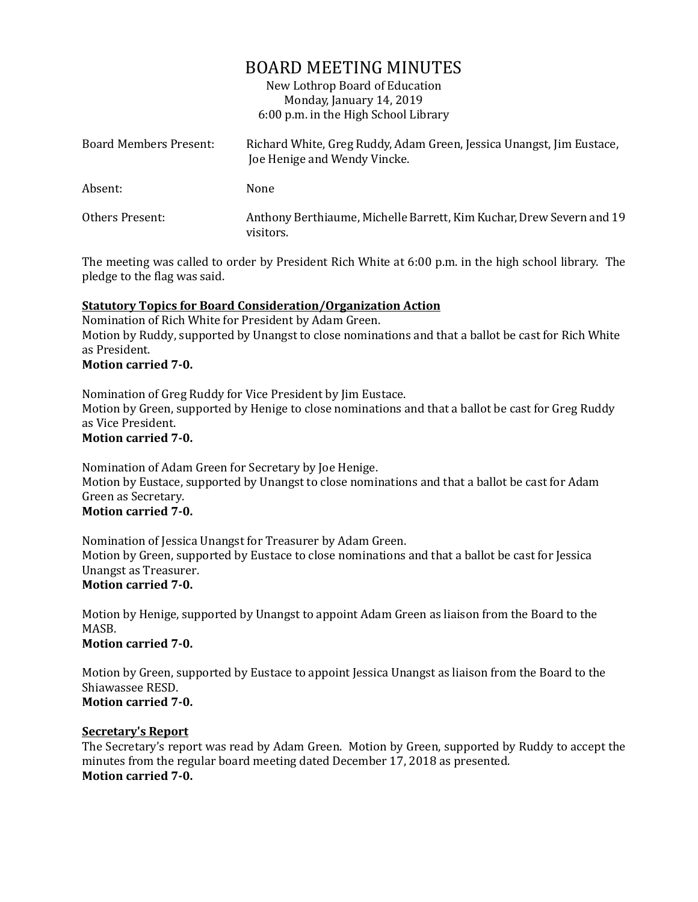# BOARD MEETING MINUTES

New Lothrop Board of Education Monday, January 14, 2019 6:00 p.m. in the High School Library

| Board Members Present: | Richard White, Greg Ruddy, Adam Green, Jessica Unangst, Jim Eustace,<br>Joe Henige and Wendy Vincke. |
|------------------------|------------------------------------------------------------------------------------------------------|
| Absent:                | None                                                                                                 |
| Others Present:        | Anthony Berthiaume, Michelle Barrett, Kim Kuchar, Drew Severn and 19<br>visitors.                    |

The meeting was called to order by President Rich White at 6:00 p.m. in the high school library. The pledge to the flag was said.

# **Statutory Topics for Board Consideration/Organization Action**

Nomination of Rich White for President by Adam Green. Motion by Ruddy, supported by Unangst to close nominations and that a ballot be cast for Rich White as President.

## **Motion carried 7-0.**

Nomination of Greg Ruddy for Vice President by Jim Eustace. Motion by Green, supported by Henige to close nominations and that a ballot be cast for Greg Ruddy as Vice President.

# **Motion carried 7-0.**

Nomination of Adam Green for Secretary by Joe Henige. Motion by Eustace, supported by Unangst to close nominations and that a ballot be cast for Adam Green as Secretary.

# **Motion carried 7-0.**

Nomination of Jessica Unangst for Treasurer by Adam Green. Motion by Green, supported by Eustace to close nominations and that a ballot be cast for Jessica Unangst as Treasurer.

## **Motion carried 7-0.**

Motion by Henige, supported by Unangst to appoint Adam Green as liaison from the Board to the MASB.

#### **Motion carried 7-0.**

Motion by Green, supported by Eustace to appoint Jessica Unangst as liaison from the Board to the Shiawassee RESD. **Motion carried 7-0.**

#### **Secretary's Report**

The Secretary's report was read by Adam Green. Motion by Green, supported by Ruddy to accept the minutes from the regular board meeting dated December 17, 2018 as presented. **Motion carried 7-0.**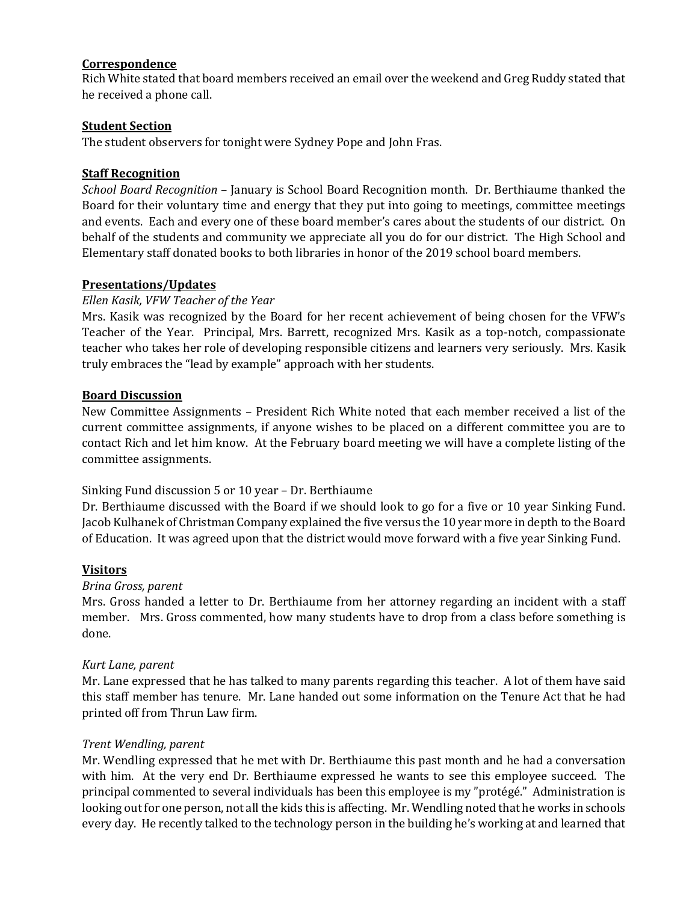# **Correspondence**

Rich White stated that board members received an email over the weekend and Greg Ruddy stated that he received a phone call.

## **Student Section**

The student observers for tonight were Sydney Pope and John Fras.

## **Staff Recognition**

*School Board Recognition* – January is School Board Recognition month. Dr. Berthiaume thanked the Board for their voluntary time and energy that they put into going to meetings, committee meetings and events. Each and every one of these board member's cares about the students of our district. On behalf of the students and community we appreciate all you do for our district. The High School and Elementary staff donated books to both libraries in honor of the 2019 school board members.

## **Presentations/Updates**

#### *Ellen Kasik, VFW Teacher of the Year*

Mrs. Kasik was recognized by the Board for her recent achievement of being chosen for the VFW's Teacher of the Year. Principal, Mrs. Barrett, recognized Mrs. Kasik as a top-notch, compassionate teacher who takes her role of developing responsible citizens and learners very seriously. Mrs. Kasik truly embraces the "lead by example" approach with her students.

#### **Board Discussion**

New Committee Assignments – President Rich White noted that each member received a list of the current committee assignments, if anyone wishes to be placed on a different committee you are to contact Rich and let him know. At the February board meeting we will have a complete listing of the committee assignments.

#### Sinking Fund discussion 5 or 10 year – Dr. Berthiaume

Dr. Berthiaume discussed with the Board if we should look to go for a five or 10 year Sinking Fund. Jacob Kulhanek of Christman Company explained the five versus the 10 year more in depth to the Board of Education. It was agreed upon that the district would move forward with a five year Sinking Fund.

## **Visitors**

#### *Brina Gross, parent*

Mrs. Gross handed a letter to Dr. Berthiaume from her attorney regarding an incident with a staff member. Mrs. Gross commented, how many students have to drop from a class before something is done.

#### *Kurt Lane, parent*

Mr. Lane expressed that he has talked to many parents regarding this teacher. A lot of them have said this staff member has tenure. Mr. Lane handed out some information on the Tenure Act that he had printed off from Thrun Law firm.

#### *Trent Wendling, parent*

Mr. Wendling expressed that he met with Dr. Berthiaume this past month and he had a conversation with him. At the very end Dr. Berthiaume expressed he wants to see this employee succeed. The principal commented to several individuals has been this employee is my "protégé." Administration is looking out for one person, not all the kids this is affecting. Mr. Wendling noted that he works in schools every day. He recently talked to the technology person in the building he's working at and learned that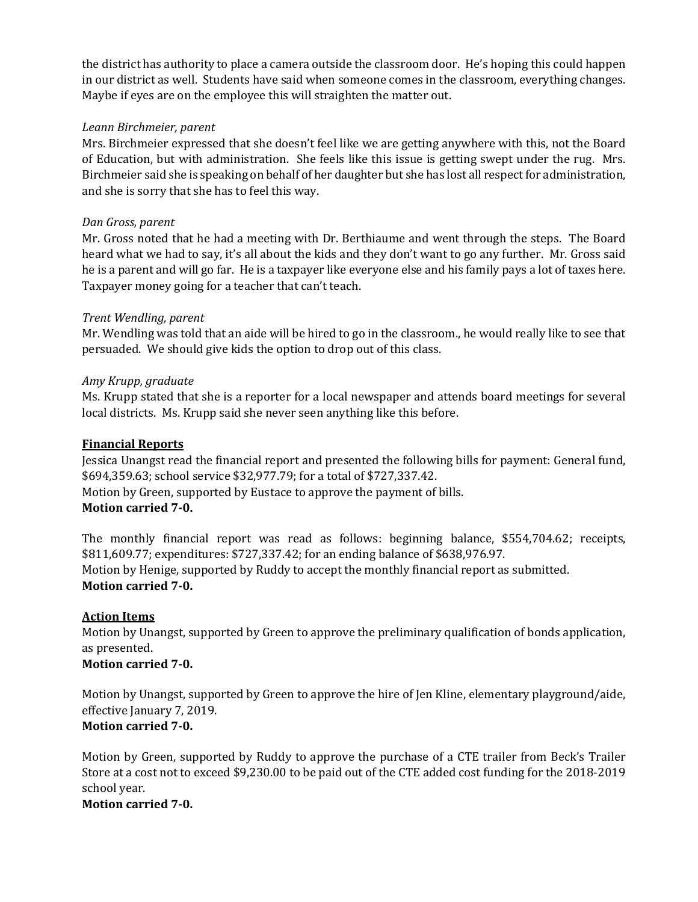the district has authority to place a camera outside the classroom door. He's hoping this could happen in our district as well. Students have said when someone comes in the classroom, everything changes. Maybe if eyes are on the employee this will straighten the matter out.

## *Leann Birchmeier, parent*

Mrs. Birchmeier expressed that she doesn't feel like we are getting anywhere with this, not the Board of Education, but with administration. She feels like this issue is getting swept under the rug. Mrs. Birchmeier said she is speaking on behalf of her daughter but she has lost all respect for administration, and she is sorry that she has to feel this way.

## *Dan Gross, parent*

Mr. Gross noted that he had a meeting with Dr. Berthiaume and went through the steps. The Board heard what we had to say, it's all about the kids and they don't want to go any further. Mr. Gross said he is a parent and will go far. He is a taxpayer like everyone else and his family pays a lot of taxes here. Taxpayer money going for a teacher that can't teach.

## *Trent Wendling, parent*

Mr. Wendling was told that an aide will be hired to go in the classroom., he would really like to see that persuaded. We should give kids the option to drop out of this class.

## *Amy Krupp, graduate*

Ms. Krupp stated that she is a reporter for a local newspaper and attends board meetings for several local districts. Ms. Krupp said she never seen anything like this before.

### **Financial Reports**

Jessica Unangst read the financial report and presented the following bills for payment: General fund, \$694,359.63; school service \$32,977.79; for a total of \$727,337.42. Motion by Green, supported by Eustace to approve the payment of bills. **Motion carried 7-0.**

The monthly financial report was read as follows: beginning balance, \$554,704.62; receipts, \$811,609.77; expenditures: \$727,337.42; for an ending balance of \$638,976.97. Motion by Henige, supported by Ruddy to accept the monthly financial report as submitted. **Motion carried 7-0.**

## **Action Items**

Motion by Unangst, supported by Green to approve the preliminary qualification of bonds application, as presented.

## **Motion carried 7-0.**

Motion by Unangst, supported by Green to approve the hire of Jen Kline, elementary playground/aide, effective January 7, 2019. **Motion carried 7-0.**

Motion by Green, supported by Ruddy to approve the purchase of a CTE trailer from Beck's Trailer Store at a cost not to exceed \$9,230.00 to be paid out of the CTE added cost funding for the 2018-2019 school year.

**Motion carried 7-0.**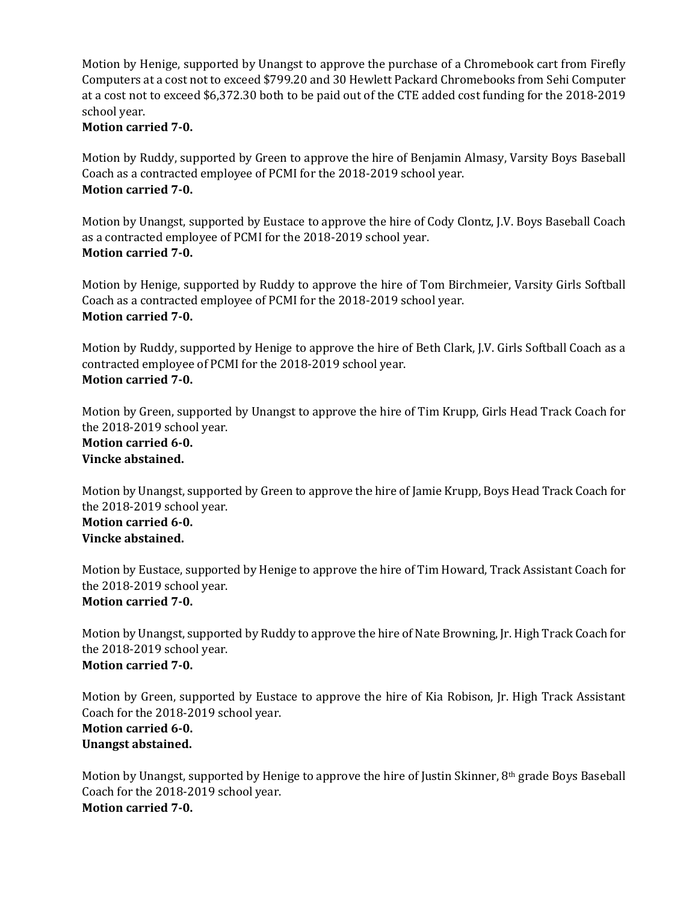Motion by Henige, supported by Unangst to approve the purchase of a Chromebook cart from Firefly Computers at a cost not to exceed \$799.20 and 30 Hewlett Packard Chromebooks from Sehi Computer at a cost not to exceed \$6,372.30 both to be paid out of the CTE added cost funding for the 2018-2019 school year.

## **Motion carried 7-0.**

Motion by Ruddy, supported by Green to approve the hire of Benjamin Almasy, Varsity Boys Baseball Coach as a contracted employee of PCMI for the 2018-2019 school year. **Motion carried 7-0.**

Motion by Unangst, supported by Eustace to approve the hire of Cody Clontz, J.V. Boys Baseball Coach as a contracted employee of PCMI for the 2018-2019 school year. **Motion carried 7-0.**

Motion by Henige, supported by Ruddy to approve the hire of Tom Birchmeier, Varsity Girls Softball Coach as a contracted employee of PCMI for the 2018-2019 school year. **Motion carried 7-0.**

Motion by Ruddy, supported by Henige to approve the hire of Beth Clark, J.V. Girls Softball Coach as a contracted employee of PCMI for the 2018-2019 school year. **Motion carried 7-0.**

Motion by Green, supported by Unangst to approve the hire of Tim Krupp, Girls Head Track Coach for the 2018-2019 school year.

#### **Motion carried 6-0. Vincke abstained.**

Motion by Unangst, supported by Green to approve the hire of Jamie Krupp, Boys Head Track Coach for the 2018-2019 school year. **Motion carried 6-0. Vincke abstained.**

Motion by Eustace, supported by Henige to approve the hire of Tim Howard, Track Assistant Coach for the 2018-2019 school year. **Motion carried 7-0.**

Motion by Unangst, supported by Ruddy to approve the hire of Nate Browning, Jr. High Track Coach for the 2018-2019 school year. **Motion carried 7-0.**

Motion by Green, supported by Eustace to approve the hire of Kia Robison, Jr. High Track Assistant Coach for the 2018-2019 school year.

## **Motion carried 6-0. Unangst abstained.**

Motion by Unangst, supported by Henige to approve the hire of Justin Skinner, 8th grade Boys Baseball Coach for the 2018-2019 school year. **Motion carried 7-0.**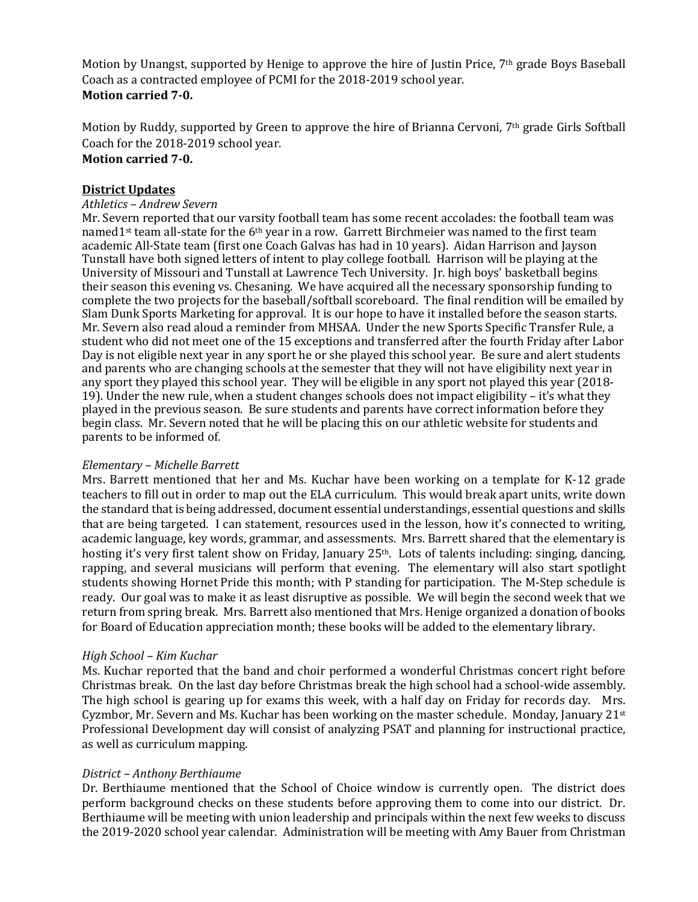Motion by Unangst, supported by Henige to approve the hire of Justin Price, 7<sup>th</sup> grade Boys Baseball Coach as a contracted employee of PCMI for the 2018-2019 school year. **Motion carried 7-0.**

Motion by Ruddy, supported by Green to approve the hire of Brianna Cervoni, 7th grade Girls Softball Coach for the 2018-2019 school year. **Motion carried 7-0.**

# **District Updates**

### *Athletics – Andrew Severn*

Mr. Severn reported that our varsity football team has some recent accolades: the football team was named1<sup>st</sup> team all-state for the 6<sup>th</sup> year in a row. Garrett Birchmeier was named to the first team academic All-State team (first one Coach Galvas has had in 10 years). Aidan Harrison and Jayson Tunstall have both signed letters of intent to play college football. Harrison will be playing at the University of Missouri and Tunstall at Lawrence Tech University. Jr. high boys' basketball begins their season this evening vs. Chesaning. We have acquired all the necessary sponsorship funding to complete the two projects for the baseball/softball scoreboard. The final rendition will be emailed by Slam Dunk Sports Marketing for approval. It is our hope to have it installed before the season starts. Mr. Severn also read aloud a reminder from MHSAA. Under the new Sports Specific Transfer Rule, a student who did not meet one of the 15 exceptions and transferred after the fourth Friday after Labor Day is not eligible next year in any sport he or she played this school year. Be sure and alert students and parents who are changing schools at the semester that they will not have eligibility next year in any sport they played this school year. They will be eligible in any sport not played this year (2018- 19). Under the new rule, when a student changes schools does not impact eligibility – it's what they played in the previous season. Be sure students and parents have correct information before they begin class. Mr. Severn noted that he will be placing this on our athletic website for students and parents to be informed of.

#### *Elementary – Michelle Barrett*

Mrs. Barrett mentioned that her and Ms. Kuchar have been working on a template for K-12 grade teachers to fill out in order to map out the ELA curriculum. This would break apart units, write down the standard that is being addressed, document essential understandings, essential questions and skills that are being targeted. I can statement, resources used in the lesson, how it's connected to writing, academic language, key words, grammar, and assessments. Mrs. Barrett shared that the elementary is hosting it's very first talent show on Friday, January  $25<sup>th</sup>$ . Lots of talents including: singing, dancing, rapping, and several musicians will perform that evening. The elementary will also start spotlight students showing Hornet Pride this month; with P standing for participation. The M-Step schedule is ready. Our goal was to make it as least disruptive as possible. We will begin the second week that we return from spring break. Mrs. Barrett also mentioned that Mrs. Henige organized a donation of books for Board of Education appreciation month; these books will be added to the elementary library.

#### *High School – Kim Kuchar*

Ms. Kuchar reported that the band and choir performed a wonderful Christmas concert right before Christmas break. On the last day before Christmas break the high school had a school-wide assembly. The high school is gearing up for exams this week, with a half day on Friday for records day. Mrs. Cyzmbor, Mr. Severn and Ms. Kuchar has been working on the master schedule. Monday, January  $21^{st}$ Professional Development day will consist of analyzing PSAT and planning for instructional practice, as well as curriculum mapping.

#### *District – Anthony Berthiaume*

Dr. Berthiaume mentioned that the School of Choice window is currently open. The district does perform background checks on these students before approving them to come into our district. Dr. Berthiaume will be meeting with union leadership and principals within the next few weeks to discuss the 2019-2020 school year calendar. Administration will be meeting with Amy Bauer from Christman